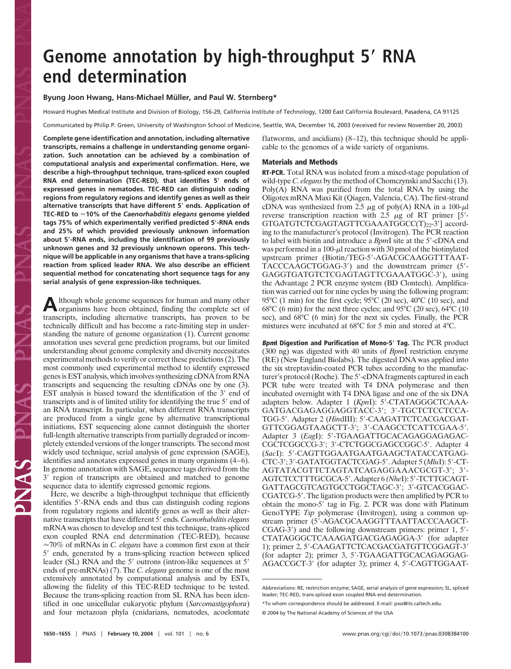# **Genome annotation by high-throughput 5 RNA end determination**

# Byung Joon Hwang, Hans-Michael Müller, and Paul W. Sternberg\*

Howard Hughes Medical Institute and Division of Biology, 156-29, California Institute of Technology, 1200 East California Boulevard, Pasadena, CA 91125

Communicated by Philip P. Green, University of Washington School of Medicine, Seattle, WA, December 16, 2003 (received for review November 20, 2003)

**Complete gene identification and annotation, including alternative transcripts, remains a challenge in understanding genome organization. Such annotation can be achieved by a combination of computational analysis and experimental confirmation. Here, we describe a high-throughput technique, trans-spliced exon coupled RNA end determination (TEC-RED), that identifies 5 ends of expressed genes in nematodes. TEC-RED can distinguish coding regions from regulatory regions and identify genes as well as their alternative transcripts that have different 5 ends. Application of TEC-RED to 10% of the** *Caenorhabditis elegans* **genome yielded tags 75% of which experimentally verified predicted 5-RNA ends and 25% of which provided previously unknown information about 5-RNA ends, including the identification of 99 previously unknown genes and 32 previously unknown operons. This technique will be applicable in any organisms that have a trans-splicing reaction from spliced leader RNA. We also describe an efficient sequential method for concatenating short sequence tags for any serial analysis of gene expression-like techniques.**

Although whole genome sequences for human and many other<br>organisms have been obtained, finding the complete set of transcripts, including alternative transcripts, has proven to be technically difficult and has become a rate-limiting step in understanding the nature of genome organization (1). Current genome annotation uses several gene prediction programs, but our limited understanding about genome complexity and diversity necessitates experimental methods to verify or correct these predictions (2). The most commonly used experimental method to identify expressed genes is EST analysis, which involves synthesizing cDNA from RNA transcripts and sequencing the resulting cDNAs one by one (3). EST analysis is biased toward the identification of the 3' end of transcripts and is of limited utility for identifying the true 5' end of an RNA transcript. In particular, when different RNA transcripts are produced from a single gene by alternative transcriptional initiations, EST sequencing alone cannot distinguish the shorter full-length alternative transcripts from partially degraded or incompletely extended versions of the longer transcripts. The second most widely used technique, serial analysis of gene expression (SAGE), identifies and annotates expressed genes in many organisms (4–6). In genome annotation with SAGE, sequence tags derived from the 3' region of transcripts are obtained and matched to genome sequence data to identify expressed genomic regions.

Here, we describe a high-throughput technique that efficiently identifies 5'-RNA ends and thus can distinguish coding regions from regulatory regions and identify genes as well as their alternative transcripts that have different 5' ends. *Caenorhabditis elegans* mRNA was chosen to develop and test this technique, trans-spliced exon coupled RNA end determination (TEC-RED), because  $\approx$ 70% of mRNAs in *C. elegans* have a common first exon at their 5' ends, generated by a trans-splicing reaction between spliced leader (SL) RNA and the 5' outrons (intron-like sequences at 5' ends of pre-mRNAs) (7). The *C. elegans* genome is one of the most extensively annotated by computational analysis and by ESTs, allowing the fidelity of this TEC-RED technique to be tested. Because the trans-splicing reaction from SL RNA has been identified in one unicellular eukaryotic phylum (*Sarcomastigophora*) and four metazoan phyla (cnidarians, nematodes, acoelomate flatworms, and ascidians) (8–12), this technique should be applicable to the genomes of a wide variety of organisms.

# **Materials and Methods**

**RT-PCR.** Total RNA was isolated from a mixed-stage population of wild-type *C. elegans* by the method of Chomczynski and Sacchi (13). Poly(A) RNA was purified from the total RNA by using the Oligotex mRNA Maxi Kit (Qiagen, Valencia, CA). The first-strand cDNA was synthesized from 2.5  $\mu$ g of poly(A) RNA in a 100- $\mu$ l reverse transcription reaction with  $2.5 \mu g$  of RT primer [5'-GTGATGTCTCGAGTAGTTCGAAATGGCC(T)22-3'] according to the manufacturer's protocol (Invitrogen). The PCR reaction to label with biotin and introduce a *BpmI* site at the 5'-cDNA end was performed in a 100- $\mu$  reaction with 30 pmol of the biotinylated upstream primer (Biotin/TEG-5'-AGACGCAAGGTTTAAT-TACCCAAGCTGGAG-3') and the downstream primer (5'-GAGGTGATGTCTCGAGTAGTTCGAAATGGC-3'), using the Advantage 2 PCR enzyme system (BD Clontech). Amplification was carried out for nine cycles by using the following program: 95°C (1 min) for the first cycle; 95°C (20 sec), 40°C (10 sec), and 68°C (6 min) for the next three cycles; and 95°C (20 sec), 64°C (10 sec), and 68°C (6 min) for the next six cycles. Finally, the PCR mixtures were incubated at 68°C for 5 min and stored at 4°C.

**BpmI Digestion and Purification of Mono-5 Tag.** The PCR product (300 ng) was digested with 40 units of *Bpm*I restriction enzyme (RE) (New England Biolabs). The digested DNA was applied into the six streptavidin-coated PCR tubes according to the manufacturer's protocol (Roche). The 5'-cDNA fragments captured in each PCR tube were treated with T4 DNA polymerase and then incubated overnight with T4 DNA ligase and one of the six DNA adapters below. Adapter 1 (KpnI): 5'-CTATAGGGCTCAAA-GATGACGAGAGGAGGTACC-3'; 3'-TGCTCTCCTCCA-TGG-5'. Adapter 2 (*HindIII)*: 5'-CAAGATTCTCACGACGAT-GTTCGGAGTAAGCTT-3′; 3′-CAAGCCTCATTCGAA-5′. Adapter 3 (EagI): 5'-TGAAGATTGCACAGAGGAGAGAC-CGCTCGGCCG-3'; 3'-CTCTGGCGAGCCGGC-5'. Adapter 4 (*Sac*I): 5--CAGTTGGAATGAATGAAGCTATACCATGAG-CTC-3'; 3'-GATATGGTACTCGAG-5'. Adapter 5 (MluI): 5'-CT-AGTATACGTTCTAGTATCAGAGGAAACGCGT-3′; 3′-AGTCTCCTTTGCGCA-5'. Adapter 6 (NheI): 5'-TCTTGCAGT-GATTAGCGTCAGTGCCTGGCTAGC-3'; 3'-GTCACGGAC-CGATCG-5'. The ligation products were then amplified by PCR to obtain the mono-5' tag in Fig. 2. PCR was done with Platinum GenoTYPE *Tsp* polymerase (Invitrogen), using a common upstream primer (5--AGACGCAAGGTTTAATTACCCAAGCT-CGAG-3') and the following downstream primers: primer 1, 5'-CTATAGGGCTCAAAGATGACGAGAGGA-3' (for adapter 1); primer 2, 5'-CAAGATTCTCACGACGATGTTCGGAGT-3' (for adapter 2); primer 3, 5'-TGAAGATTGCACAGAGGAG-AGACCGCT-3' (for adapter 3); primer 4, 5'-CAGTTGGAAT-

Abbreviations: RE, restriction enzyme; SAGE, serial analysis of gene expression; SL, spliced leader; TEC-RED, trans-spliced exon coupled RNA end determination.

<sup>\*</sup>To whom correspondence should be addressed. E-mail: pws@its.caltech.edu.

<sup>© 2004</sup> by The National Academy of Sciences of the USA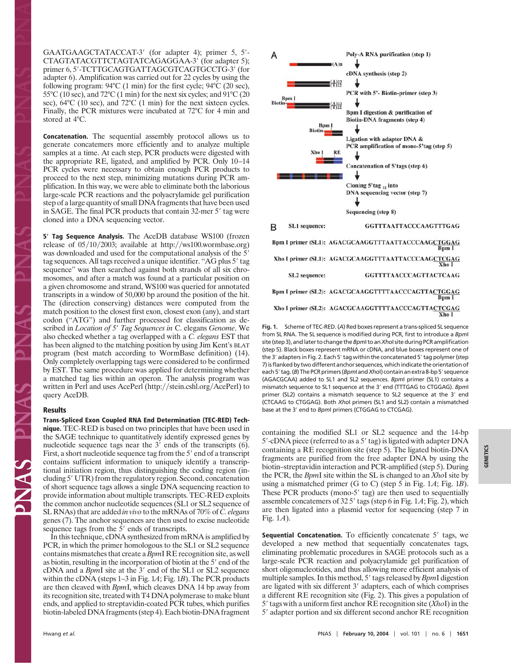GAATGAAGCTATACCAT-3' (for adapter 4); primer 5, 5'-CTAGTATACGTTCTAGTATCAGAGGAA-3' (for adapter 5); primer 6, 5'-TCTTGCAGTGATTAGCGTCAGTGCCTG-3' (for adapter 6). Amplification was carried out for 22 cycles by using the following program: 94°C (1 min) for the first cycle; 94°C (20 sec), 55°C (10 sec), and 72°C (1 min) for the next six cycles; and 91°C (20 sec), 64°C (10 sec), and 72°C (1 min) for the next sixteen cycles. Finally, the PCR mixtures were incubated at 72°C for 4 min and stored at 4°C.

**Concatenation.** The sequential assembly protocol allows us to generate concatemers more efficiently and to analyze multiple samples at a time. At each step, PCR products were digested with the appropriate RE, ligated, and amplified by PCR. Only 10–14 PCR cycles were necessary to obtain enough PCR products to proceed to the next step, minimizing mutations during PCR amplification. In this way, we were able to eliminate both the laborious large-scale PCR reactions and the polyacrylamide gel purification step of a large quantity of small DNA fragments that have been used in SAGE. The final PCR products that contain 32-mer 5' tag were cloned into a DNA sequencing vector.

**5 Tag Sequence Analysis.** The AceDB database WS100 (frozen release of  $05/10/2003$ ; available at http://ws100.wormbase.org) was downloaded and used for the computational analysis of the 5' tag sequences. All tags received a unique identifier. "AG plus 5' tag sequence'' was then searched against both strands of all six chromosomes, and after a match was found at a particular position on a given chromosome and strand, WS100 was queried for annotated transcripts in a window of 50,000 bp around the position of the hit. The (direction conserving) distances were computed from the match position to the closest first exon, closest exon (any), and start codon (''ATG'') and further processed for classification as described in *Location of 5' Tag Sequences in C*. elegans *Genome*. We also checked whether a tag overlapped with a *C. elegans* EST that has been aligned to the matching position by using Jim Kent's BLAT program (best match according to WormBase definition) (14). Only completely overlapping tags were considered to be confirmed by EST. The same procedure was applied for determining whether a matched tag lies within an operon. The analysis program was written in Perl and uses AcePerl (http://stein.cshl.org/AcePerl) to query AceDB.

# **Results**

**Trans-Spliced Exon Coupled RNA End Determination (TEC-RED) Technique.** TEC-RED is based on two principles that have been used in the SAGE technique to quantitatively identify expressed genes by nucleotide sequence tags near the  $3'$  ends of the transcripts  $(6)$ . First, a short nucleotide sequence tag from the 5' end of a transcript contains sufficient information to uniquely identify a transcriptional initiation region, thus distinguishing the coding region (including 5' UTR) from the regulatory region. Second, concatenation of short sequence tags allows a single DNA sequencing reaction to provide information about multiple transcripts. TEC-RED exploits the common anchor nucleotide sequences (SL1 or SL2 sequence of SL RNAs) that are added *in vivo* to the mRNAs of 70% of *C. elegans* genes (7). The anchor sequences are then used to excise nucleotide sequence tags from the 5' ends of transcripts.

In this technique, cDNA synthesized from mRNA is amplified by PCR, in which the primer homologous to the SL1 or SL2 sequence contains mismatches that create a *Bpm*I RE recognition site, as well as biotin, resulting in the incorporation of biotin at the 5' end of the cDNA and a *BpmI* site at the 3' end of the SL1 or SL2 sequence within the cDNA (steps 1–3 in Fig. 1*A*; Fig. 1*B*). The PCR products are then cleaved with *Bpm*I, which cleaves DNA 14 bp away from its recognition site, treated with T4 DNA polymerase to make blunt ends, and applied to streptavidin-coated PCR tubes, which purifies biotin-labeled DNA fragments (step 4). Each biotin-DNA fragment



**Fig. 1.** Scheme of TEC-RED. (*A*) Red boxes represent a trans-spliced SL sequence from SL RNA. The SL sequence is modified during PCR, first to introduce a *Bpm*I site (step 3), and later to change the *Bpm*I to an *Xho*I site during PCR amplification (step 5). Black boxes represent mRNA or cDNA, and blue boxes represent one of the 3' adapters in Fig. 2. Each 5' tag within the concatenated 5' tag polymer (step 7) is flanked by two different anchor sequences, which indicate the orientation of each 5' tag. (*B*) The PCR primers (*Bpm*I and *Xho*I) contain an extra 8-bp 5' sequence (AGACGCAA) added to SL1 and SL2 sequences. *Bpm*I primer (SL1) contains a mismatch sequence to SL1 sequence at the 3' end (TTTGAG to CTGGAG). *Bpml* primer (SL2) contains a mismatch sequence to SL2 sequence at the 3' end (CTCAAG to CTGGAG). Both *Xho*I primers (SL1 and SL2) contain a mismatched base at the 3' end to *Bpm*I primers (CTGGAG to CTCGAG).

containing the modified SL1 or SL2 sequence and the 14-bp 5'-cDNA piece (referred to as a 5' tag) is ligated with adapter DNA containing a RE recognition site (step 5). The ligated biotin-DNA fragments are purified from the free adapter DNA by using the biotin–streptavidin interaction and PCR-amplified (step 5). During the PCR, the *Bpm*I site within the SL is changed to an *Xho*I site by using a mismatched primer (G to C) (step 5 in Fig. 1*A*; Fig. 1*B*). These PCR products (mono-5' tag) are then used to sequentially assemble concatemers of 32 5' tags (step 6 in Fig. 1A; Fig. 2), which are then ligated into a plasmid vector for sequencing (step 7 in Fig. 1*A*).

**Sequential Concatenation.** To efficiently concatenate 5' tags, we developed a new method that sequentially concatenates tags, eliminating problematic procedures in SAGE protocols such as a large-scale PCR reaction and polyacrylamide gel purification of short oligonucleotides, and thus allowing more efficient analysis of multiple samples. In this method, 5' tags released by *BpmI* digestion are ligated with six different 3' adapters, each of which comprises a different RE recognition site (Fig. 2). This gives a population of 5' tags with a uniform first anchor RE recognition site (*XhoI*) in the 5' adapter portion and six different second anchor RE recognition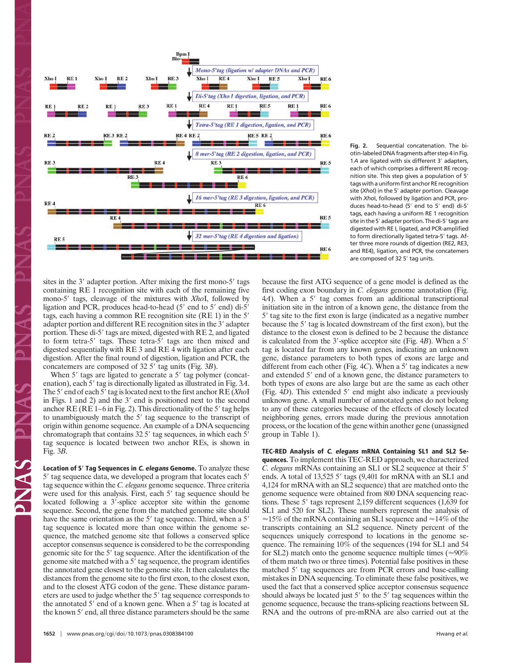

**Fig. 2.** Sequential concatenation. The biotin-labeled DNA fragments after step 4 in Fig. 1A are ligated with six different 3' adapters, each of which comprises a different RE recognition site. This step gives a population of 5<sup>'</sup> tags with a uniform first anchor RE recognition site (*Xho*I) in the 5' adapter portion. Cleavage with *Xho*I, followed by ligation and PCR, produces head-to-head (5' end to 5' end) di-5' tags, each having a uniform RE 1 recognition site in the 5′ adapter portion. The di-5′ tags are digested with RE I, ligated, and PCR-amplified to form directionally ligated tetra-5' tags. After three more rounds of digestion (RE2, RE3, and RE4), ligation, and PCR, the concatemers are composed of 32 5' tag units.

sites in the 3' adapter portion. After mixing the first mono-5' tags containing RE 1 recognition site with each of the remaining five mono-5' tags, cleavage of the mixtures with *XhoI*, followed by ligation and PCR, produces head-to-head (5' end to 5' end) di-5' tags, each having a common RE recognition site (RE 1) in the 5' adapter portion and different RE recognition sites in the 3' adapter portion. These di-5' tags are mixed, digested with RE 2, and ligated to form tetra-5' tags. These tetra-5' tags are then mixed and digested sequentially with RE 3 and RE 4 with ligation after each digestion. After the final round of digestion, ligation and PCR, the concatemers are composed of 32 5' tag units (Fig. 3*B*).

When 5' tags are ligated to generate a 5' tag polymer (concatenation), each 5' tag is directionally ligated as illustrated in Fig. 3A. The 5' end of each 5' tag is located next to the first anchor RE (*Xho*I in Figs. 1 and 2) and the 3' end is positioned next to the second anchor  $RE$  ( $RE1-6$  in Fig. 2). This directionality of the 5' tag helps to unambiguously match the 5' tag sequence to the transcript of origin within genome sequence. An example of a DNA sequencing chromatograph that contains 32 5' tag sequences, in which each 5' tag sequence is located between two anchor REs, is shown in Fig. 3*B*.

**Location of 5 Tag Sequences in C. elegans Genome.** To analyze these 5' tag sequence data, we developed a program that locates each 5' tag sequence within the *C. elegans* genome sequence. Three criteria were used for this analysis. First, each 5' tag sequence should be located following a 3'-splice acceptor site within the genome sequence. Second, the gene from the matched genome site should have the same orientation as the 5' tag sequence. Third, when a 5' tag sequence is located more than once within the genome sequence, the matched genome site that follows a conserved splice acceptor consensus sequence is considered to be the corresponding genomic site for the 5' tag sequence. After the identification of the genome site matched with a 5' tag sequence, the program identifies the annotated gene closest to the genome site. It then calculates the distances from the genome site to the first exon, to the closest exon, and to the closest ATG codon of the gene. These distance parameters are used to judge whether the 5' tag sequence corresponds to the annotated 5' end of a known gene. When a 5' tag is located at the known 5' end, all three distance parameters should be the same

because the first ATG sequence of a gene model is defined as the first coding exon boundary in *C. elegans* genome annotation (Fig. 4*A*). When a 5' tag comes from an additional transcriptional initiation site in the intron of a known gene, the distance from the 5' tag site to the first exon is large (indicated as a negative number because the 5' tag is located downstream of the first exon), but the distance to the closest exon is defined to be 2 because the distance is calculated from the 3'-splice acceptor site (Fig. 4*B*). When a 5' tag is located far from any known genes, indicating an unknown gene, distance parameters to both types of exons are large and different from each other (Fig. 4C). When a 5' tag indicates a new and extended 5' end of a known gene, the distance parameters to both types of exons are also large but are the same as each other (Fig. 4D). This extended 5' end might also indicate a previously unknown gene. A small number of annotated genes do not belong to any of these categories because of the effects of closely located neighboring genes, errors made during the previous annotation process, or the location of the gene within another gene (unassigned group in Table 1).

**TEC-RED Analysis of C. elegans mRNA Containing SL1 and SL2 Sequences.** To implement this TEC-RED approach, we characterized *C. elegans* mRNAs containing an SL1 or SL2 sequence at their 5 ends. A total of 13,525 5' tags (9,401 for mRNA with an SL1 and 4,124 for mRNA with an SL2 sequence) that are matched onto the genome sequence were obtained from 800 DNA sequencing reactions. These 5' tags represent 2,159 different sequences (1,639 for SL1 and 520 for SL2). These numbers represent the analysis of  $\approx$ 15% of the mRNA containing an SL1 sequence and  $\approx$ 14% of the transcripts containing an SL2 sequence. Ninety percent of the sequences uniquely correspond to locations in the genome sequence. The remaining 10% of the sequences (194 for SL1 and 54 for SL2) match onto the genome sequence multiple times ( $\approx 90\%$ ) of them match two or three times). Potential false positives in these matched 5' tag sequences are from PCR errors and base-calling mistakes in DNA sequencing. To eliminate these false positives, we used the fact that a conserved splice acceptor consensus sequence should always be located just 5' to the 5' tag sequences within the genome sequence, because the trans-splicing reactions between SL RNA and the outrons of pre-mRNA are also carried out at the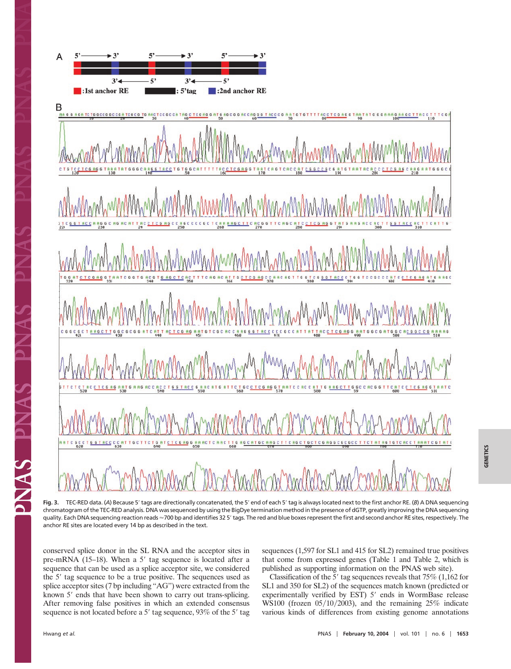

Fig. 3. TEC-RED data. (A) Because 5' tags are directionally concatenated, the 5' end of each 5' tag is always located next to the first anchor RE. (*B*) A DNA sequencing chromatogram of the TEC-RED analysis. DNA was sequenced by using the BigDye termination method in the presence of dGTP, greatly improving the DNA sequencing quality. Each DNA sequencing reaction reads ≈700 bp and identifies 32 5′ tags. The red and blue boxes represent the first and second anchor RE sites, respectively. The anchor RE sites are located every 14 bp as described in the text.

conserved splice donor in the SL RNA and the acceptor sites in pre-mRNA  $(15-18)$ . When a 5' tag sequence is located after a sequence that can be used as a splice acceptor site, we considered the 5<sup>'</sup> tag sequence to be a true positive. The sequences used as splice acceptor sites (7 bp including ''AG'') were extracted from the known 5' ends that have been shown to carry out trans-splicing. After removing false positives in which an extended consensus sequence is not located before a 5' tag sequence, 93% of the 5' tag

sequences (1,597 for SL1 and 415 for SL2) remained true positives that come from expressed genes (Table 1 and Table 2, which is published as supporting information on the PNAS web site).

Classification of the 5' tag sequences reveals that  $75\%$  (1,162 for SL1 and 350 for SL2) of the sequences match known (predicted or experimentally verified by EST) 5' ends in WormBase release WS100 (frozen  $05/10/2003$ ), and the remaining 25% indicate various kinds of differences from existing genome annotations

PNAS PN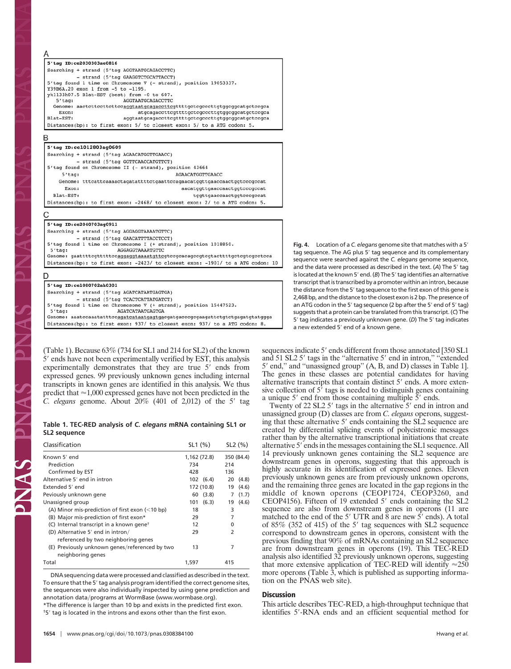| 5'tag ID:ce2030303ae0816 |                                                                            |  |  |
|--------------------------|----------------------------------------------------------------------------|--|--|
|                          | Searching + strand (5'taq AGGTAATGCAGACCTTC)                               |  |  |
|                          | - strand (5'tag GAAGGTCTGCATTACCT)                                         |  |  |
|                          | 5'tag found 1 time on Chromosome V (- strand), position 19053337.          |  |  |
|                          | Y39B6A.20 exon 1 from -5 to -1195.                                         |  |  |
|                          | vk1133h07.5 Blat-EST (best) from -0 to 607.                                |  |  |
| $5'taa$ :                | AGGTAATGCAGACCTTC                                                          |  |  |
|                          | Genome: aactcttccttcttccaggtaatgcagaccttcgttttgctcgcccttgtggcggcatgctccgca |  |  |
| Exon:                    | atgcagaccttcgttttgctcgcccttgtggcggcatgctccgca                              |  |  |
| Blat-EST:                | aggtaatgcagaccttcgttttgctcgcccttqtqgcggcatgctccgca                         |  |  |
|                          | Distances(bp): to first exon: 5/ to closest exon: 5/ to a ATG codon: 5.    |  |  |

| 5'tag ID:ce1012803aq0609                                |                                                                               |  |  |
|---------------------------------------------------------|-------------------------------------------------------------------------------|--|--|
| Searching + strand (5'tag AGAACATGGTTGAACC)             |                                                                               |  |  |
| - strand (5'tag GGTTCAACCATGTTCT)                       |                                                                               |  |  |
| 5'tag found on Chromosome II (- strand), position 43664 |                                                                               |  |  |
| 5'taq:                                                  | AGAACATGGTTGAACC                                                              |  |  |
|                                                         | Genome: tttcattcaaaactagatattttctgaattccagaacatggttgaaccaactggtcccgccat       |  |  |
| Exon:                                                   | aacatqqttqaaccaactqqtcccqccat                                                 |  |  |
| Blat-EST:                                               | tggttgaaccaactggtcccgccat                                                     |  |  |
|                                                         | Distances(bp): to first exon: -2468/ to closest exon: 2/ to a ATG codon: 5.   |  |  |
| 5'tag ID:ce2040703ag0911                                |                                                                               |  |  |
| Searching + strand (5'tag AGGAGGTAAAATGTTC)             |                                                                               |  |  |
| - strand (5'tag GAACATTTTACCTCCT)                       |                                                                               |  |  |
|                                                         | 5'taq found 1 time on Chromosome I (+ strand), position 1018850.              |  |  |
| 5'taq:                                                  | AGGAGGTAAAATGTTC                                                              |  |  |
|                                                         | Genome: gaattttcgtttttccaggaggtaaaatgttcgtccgcacagccgtcgtacttttgctcgtcgcctcca |  |  |

Distances(bp): to first exon: -2423/ to closest exon: -1901/ to a ATG codon: 10

## D

PINAS PIN

| 5'tag ID:ce1080702ah0301                                                    |
|-----------------------------------------------------------------------------|
| Searching + strand (5'tag AGATCATAATGAGTGA)                                 |
| - strand (5'tag TCACTCATTATGATCT)                                           |
| 5'tag found 1 time on Chromosome V (+ strand), position 15447523.           |
| $5'taa$ :<br>AGATCATAATGAGTGA                                               |
|                                                                             |
| Distances(bp): to first exon: 937/ to closest exon: 937/ to a ATG codon: 8. |

(Table 1). Because 63% (734 for SL1 and 214 for SL2) of the known 5' ends have not been experimentally verified by EST, this analysis experimentally demonstrates that they are true 5' ends from expressed genes. 99 previously unknown genes including internal transcripts in known genes are identified in this analysis. We thus predict that  $\approx$  1,000 expressed genes have not been predicted in the *C. elegans* genome. About 20% (401 of 2,012) of the 5' tag

# **Table 1. TEC-RED analysis of** *C. elegans* **mRNA containing SL1 or SL2 sequence**

| Classification                                                      | SL1(%)       | SL2(%)      |  |
|---------------------------------------------------------------------|--------------|-------------|--|
| Known 5' end                                                        | 1,162 (72.8) | 350 (84.4)  |  |
| Prediction                                                          | 734          | 214         |  |
| Confirmed by EST                                                    | 428          | 136         |  |
| Alternative 5' end in intron                                        | 102(6.4)     | (4.8)<br>20 |  |
| Extended 5' end                                                     | 172 (10.8)   | (4.6)<br>19 |  |
| Peviously unknown gene                                              | (3.8)<br>60  | (1.7)<br>7  |  |
| Unassigned group                                                    | (6.3)<br>101 | (4.6)<br>19 |  |
| (A) Minor mis-prediction of first exon $\left($ < 10 bp)            | 18           | 3           |  |
| (B) Major mis-prediction of first exon*                             | 29           | 7           |  |
| (C) Internal transcript in a known gene <sup>+</sup>                | 12           | 0           |  |
| (D) Alternative 5' end in intron/                                   | 29           | 2           |  |
| referenced by two neighboring genes                                 |              |             |  |
| (E) Previously unknown genes/referenced by two<br>neighboring genes | 13           | 7           |  |
| Total                                                               | 1,597        | 415         |  |

DNA sequencing data were processed and classified as described in the text. To ensure that the 5' tag analysis program identified the correct genome sites, the sequences were also individually inspected by using gene prediction and annotation data/programs at WormBase (www.wormbase.org). \*The difference is larger than 10 bp and exists in the predicted first exon. <sup>†5'</sup> tag is located in the introns and exons other than the first exon.

**Fig. 4.** Location of a *C. elegans* genome site that matches with a 5 tag sequence. The AG plus 5' tag sequence and its complementary sequence were searched against the *C. elegans* genome sequence, and the data were processed as described in the text. (A) The 5' tag is located at the known 5' end. (B) The 5' tag identifies an alternative transcript that is transcribed by a promoter within an intron, because the distance from the 5' tag sequence to the first exon of this gene is 2,468 bp, and the distance to the closest exon is 2 bp. The presence of an ATG codon in the 5' tag sequence (2 bp after the 5' end of 5' tag) suggests that a protein can be translated from this transcript. (*C*) The 5' tag indicates a previously unknown gene. (D) The 5' tag indicates a new extended 5' end of a known gene.

sequences indicate 5' ends different from those annotated [350 SL1 and 51 SL2 5' tags in the "alternative 5' end in intron," "extended 5' end," and "unassigned group" (A, B, and D) classes in Table 1]. The genes in these classes are potential candidates for having alternative transcripts that contain distinct 5' ends. A more extensive collection of 5' tags is needed to distinguish genes containing a unique 5' end from those containing multiple 5' ends.

Twenty of 22 SL2 5' tags in the alternative 5' end in intron and unassigned group (D) classes are from *C. elegans* operons, suggesting that these alternative 5' ends containing the SL2 sequence are created by differential splicing events of polycistronic messages rather than by the alternative transcriptional initiations that create alternative 5' ends in the messages containing the SL1 sequence. All 14 previously unknown genes containing the SL2 sequence are downstream genes in operons, suggesting that this approach is highly accurate in its identification of expressed genes. Eleven previously unknown genes are from previously unknown operons, and the remaining three genes are located in the gap regions in the middle of known operons (CEOP1724, CEOP3260, and CEOP4156). Fifteen of 19 extended 5' ends containing the SL2 sequence are also from downstream genes in operons (11 are matched to the end of the 5' UTR and 8 are new 5' ends). A total of  $85\%$  (352 of 415) of the 5' tag sequences with SL2 sequence correspond to downstream genes in operons, consistent with the previous finding that 90% of mRNAs containing an SL2 sequence are from downstream genes in operons (19). This TEC-RED analysis also identified 32 previously unknown operons, suggesting that more extensive application of TEC-RED will identify  $\approx 250$ more operons (Table  $\tilde{3}$ , which is published as supporting information on the PNAS web site).

### **Discussion**

This article describes TEC-RED, a high-throughput technique that identifies 5'-RNA ends and an efficient sequential method for